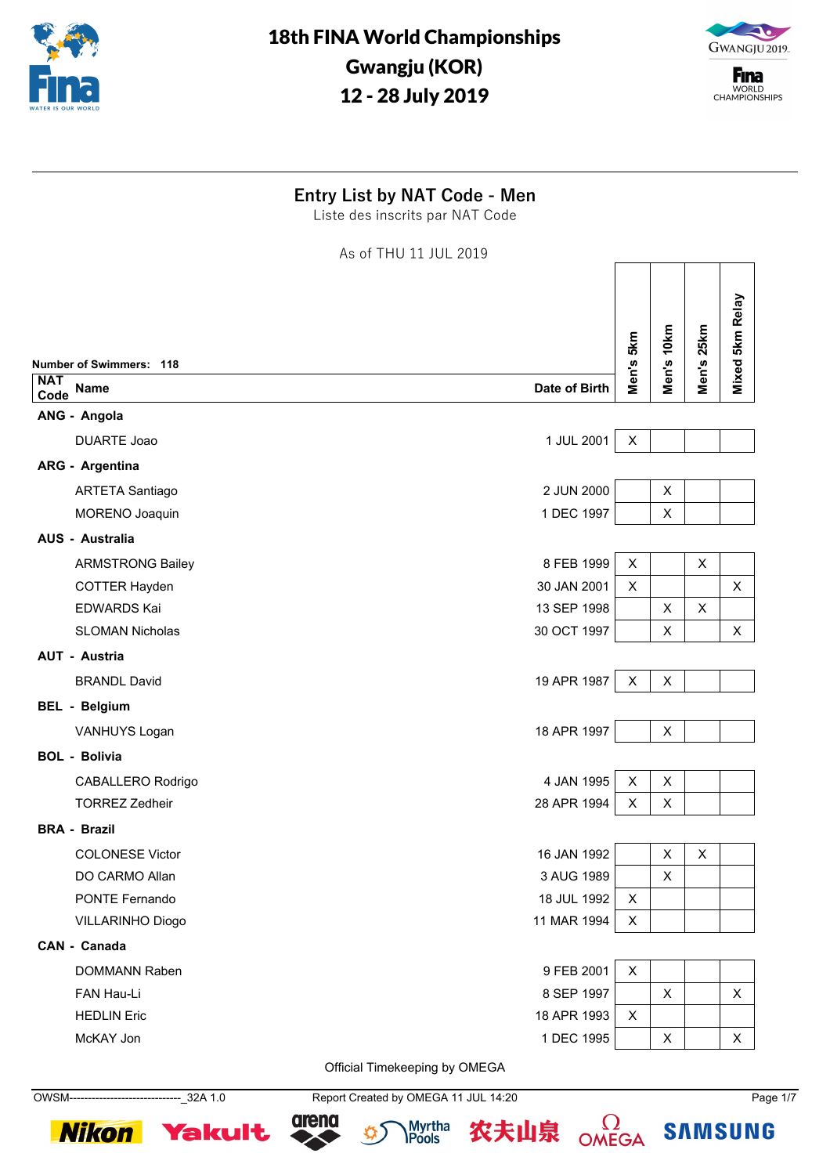



**F**ina WORLD<br>CHAMPIONSHIPS

### **Entry List by NAT Code - Men**

Liste des inscrits par NAT Code

As of THU 11 JUL 2019

| <b>NAT</b> | <b>Number of Swimmers: 118</b><br>Date of Birth<br><b>Name</b> | <b>5km</b><br>Men's | Men's 10km | Men's 25km | Mixed 5km Relay |
|------------|----------------------------------------------------------------|---------------------|------------|------------|-----------------|
| Code       |                                                                |                     |            |            |                 |
|            | ANG - Angola                                                   |                     |            |            |                 |
|            | 1 JUL 2001<br><b>DUARTE Joao</b>                               | X                   |            |            |                 |
|            | <b>ARG - Argentina</b>                                         |                     |            |            |                 |
|            | 2 JUN 2000<br><b>ARTETA Santiago</b>                           |                     | X          |            |                 |
|            | 1 DEC 1997<br>MORENO Joaquin                                   |                     | X          |            |                 |
|            | AUS - Australia                                                |                     |            |            |                 |
|            | 8 FEB 1999<br><b>ARMSTRONG Bailey</b>                          | X                   |            | X          |                 |
|            | 30 JAN 2001<br><b>COTTER Hayden</b>                            | X                   |            |            | X               |
|            | 13 SEP 1998<br><b>EDWARDS Kai</b>                              |                     | X          | X          |                 |
|            | <b>SLOMAN Nicholas</b><br>30 OCT 1997                          |                     | X          |            | X               |
|            | AUT - Austria                                                  |                     |            |            |                 |
|            | 19 APR 1987<br><b>BRANDL David</b>                             | X                   | X          |            |                 |
|            | <b>BEL - Belgium</b>                                           |                     |            |            |                 |
|            | 18 APR 1997<br>VANHUYS Logan                                   |                     | X          |            |                 |
|            | <b>BOL - Bolivia</b>                                           |                     |            |            |                 |
|            | 4 JAN 1995<br>CABALLERO Rodrigo                                | X                   | X          |            |                 |
|            | 28 APR 1994<br><b>TORREZ Zedheir</b>                           | X                   | X          |            |                 |
|            | <b>BRA - Brazil</b>                                            |                     |            |            |                 |
|            | 16 JAN 1992<br><b>COLONESE Victor</b>                          |                     | X          | X          |                 |
|            | DO CARMO Allan<br>3 AUG 1989                                   |                     | X          |            |                 |
|            | PONTE Fernando<br>18 JUL 1992                                  | X                   |            |            |                 |
|            | 11 MAR 1994<br>VILLARINHO Diogo                                | X                   |            |            |                 |
|            | CAN - Canada                                                   |                     |            |            |                 |
|            | 9 FEB 2001<br>DOMMANN Raben                                    | X                   |            |            |                 |
|            | 8 SEP 1997<br>FAN Hau-Li                                       |                     | X          |            | X               |
|            | 18 APR 1993<br><b>HEDLIN Eric</b>                              | X                   |            |            |                 |
|            | 1 DEC 1995<br>McKAY Jon                                        |                     | X          |            | X               |
|            |                                                                |                     |            |            |                 |

Official Timekeeping by OMEGA

OWSM------------------------------\_32A 1.0 Report Created by OMEGA 11 JUL 14:20 Page 1/7









 $\Omega$ OMEGA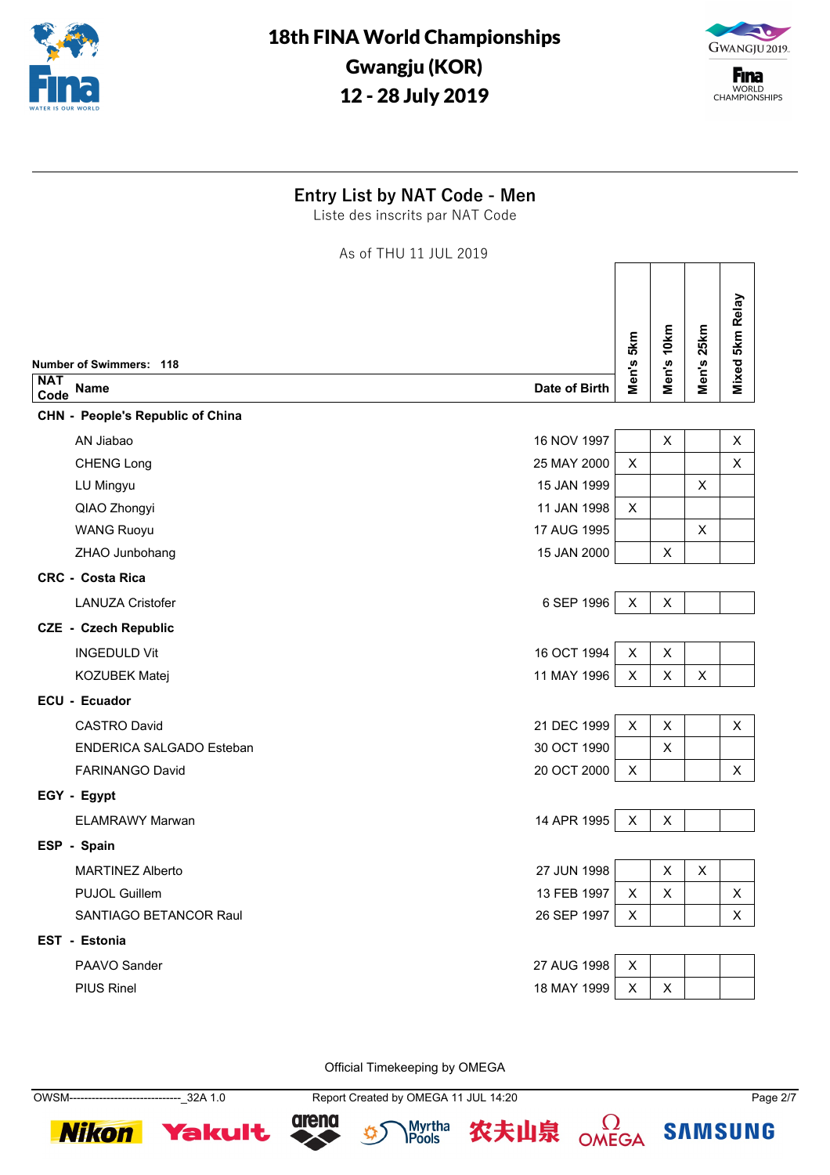



**F**ina WORLD<br>CHAMPIONSHIPS

┑

 $\Box$ 

<u> Tanzania de la propia de la propia de la propia de la propia de la propia de la propia de la propia de la pro</u>

### **Entry List by NAT Code - Men**

Liste des inscrits par NAT Code

As of THU 11 JUL 2019

|                    | <b>Number of Swimmers: 118</b>                 | Men's 5km      | Men's 10km     | Men's 25km | Mixed 5km Relay |
|--------------------|------------------------------------------------|----------------|----------------|------------|-----------------|
| <b>NAT</b><br>Code | <b>Name</b><br>Date of Birth                   |                |                |            |                 |
|                    | <b>CHN - People's Republic of China</b>        |                |                |            |                 |
|                    | 16 NOV 1997<br>AN Jiabao                       |                | X              |            | $\pmb{\times}$  |
|                    | 25 MAY 2000<br><b>CHENG Long</b>               | $\pmb{\times}$ |                |            | X               |
|                    | 15 JAN 1999<br>LU Mingyu                       |                |                | X          |                 |
|                    | QIAO Zhongyi<br>11 JAN 1998                    | X              |                |            |                 |
|                    | 17 AUG 1995<br><b>WANG Ruoyu</b>               |                |                | X          |                 |
|                    | 15 JAN 2000<br>ZHAO Junbohang                  |                | X              |            |                 |
|                    | <b>CRC - Costa Rica</b>                        |                |                |            |                 |
|                    | <b>LANUZA Cristofer</b><br>6 SEP 1996          | $\mathsf X$    | $\mathsf X$    |            |                 |
|                    | <b>CZE - Czech Republic</b>                    |                |                |            |                 |
|                    | 16 OCT 1994<br><b>INGEDULD Vit</b>             | $\pmb{\times}$ | $\pmb{\times}$ |            |                 |
|                    | 11 MAY 1996<br>KOZUBEK Matej                   | $\pmb{\times}$ | X              | X          |                 |
|                    | <b>ECU - Ecuador</b>                           |                |                |            |                 |
|                    | 21 DEC 1999<br><b>CASTRO David</b>             | $\pmb{\times}$ | X              |            | X               |
|                    | 30 OCT 1990<br><b>ENDERICA SALGADO Esteban</b> |                | X              |            |                 |
|                    | <b>FARINANGO David</b><br>20 OCT 2000          | X              |                |            | $\pmb{\times}$  |
|                    | EGY - Egypt                                    |                |                |            |                 |
|                    | 14 APR 1995<br><b>ELAMRAWY Marwan</b>          | X              | X              |            |                 |
|                    | ESP - Spain                                    |                |                |            |                 |
|                    | 27 JUN 1998<br><b>MARTINEZ Alberto</b>         |                | $\pmb{\times}$ | X          |                 |
|                    | 13 FEB 1997<br><b>PUJOL Guillem</b>            | X              | X              |            | $\pmb{\times}$  |
|                    | SANTIAGO BETANCOR Raul<br>26 SEP 1997          | X              |                |            | X               |
|                    | <b>EST - Estonia</b>                           |                |                |            |                 |
|                    | 27 AUG 1998<br>PAAVO Sander                    | $\pmb{\times}$ |                |            |                 |
|                    | <b>PIUS Rinel</b><br>18 MAY 1999               | X              | X              |            |                 |
|                    |                                                |                |                |            |                 |

Official Timekeeping by OMEGA

**Nikon Yakult** 

OWSM------------------------------\_32A 1.0 Report Created by OMEGA 11 JUL 14:20 Page 2/7







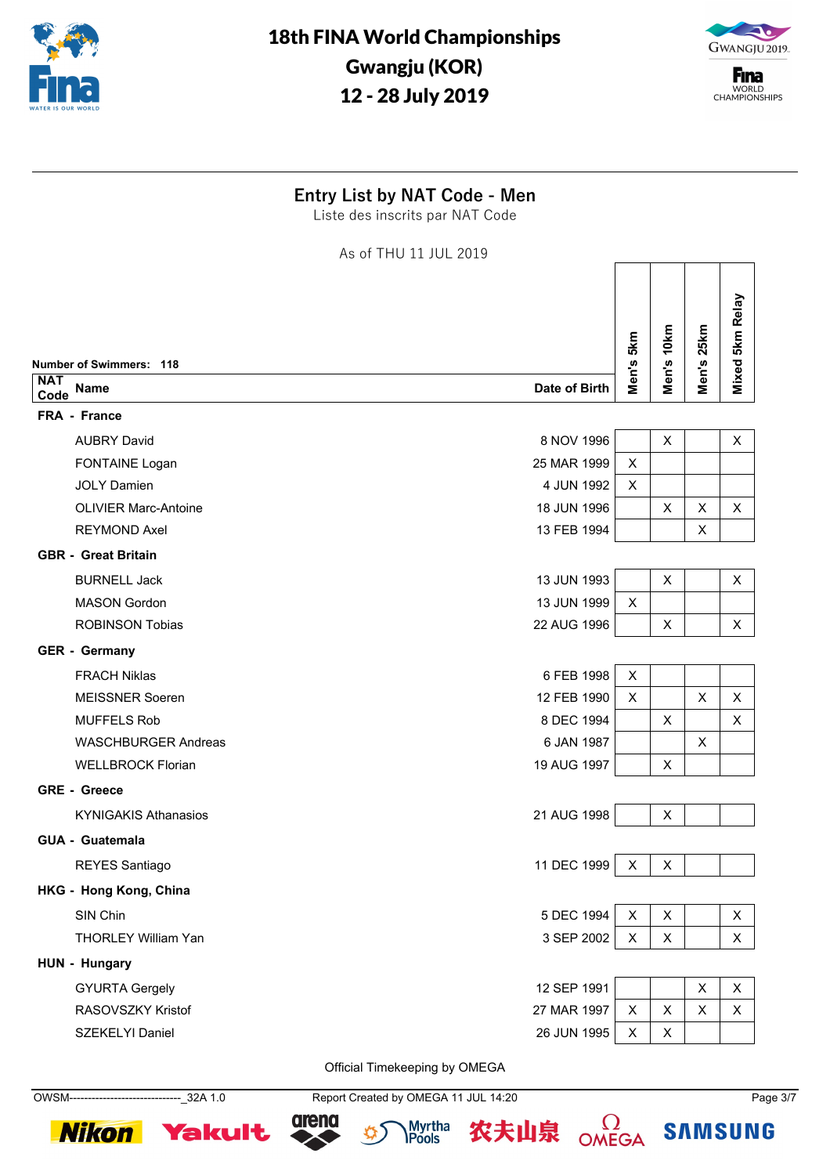



**F**ina WORLD<br>CHAMPIONSHIPS

#### **Entry List by NAT Code - Men**

Liste des inscrits par NAT Code

As of THU 11 JUL 2019

| Mixed 5km Relay<br>Men's 25km<br>Men's 10km<br>Men's 5km<br><b>Number of Swimmers: 118</b><br>Date of Birth<br><b>Name</b><br>Code<br>FRA - France<br>8 NOV 1996<br><b>AUBRY David</b><br>X<br>X<br>FONTAINE Logan<br>25 MAR 1999<br>X<br><b>JOLY Damien</b><br>4 JUN 1992<br>X<br><b>OLIVIER Marc-Antoine</b><br>18 JUN 1996<br>$\times$<br>X<br>X<br><b>REYMOND Axel</b><br>13 FEB 1994<br>X<br><b>GBR - Great Britain</b><br>13 JUN 1993<br><b>BURNELL Jack</b><br>X<br>X<br><b>MASON Gordon</b><br>13 JUN 1999<br>X<br><b>ROBINSON Tobias</b><br>22 AUG 1996<br>X<br>X<br><b>GER - Germany</b><br>6 FEB 1998<br><b>FRACH Niklas</b><br>X<br>12 FEB 1990<br><b>MEISSNER Soeren</b><br>X<br>X<br>X<br>8 DEC 1994<br><b>MUFFELS Rob</b><br>X<br>X<br><b>WASCHBURGER Andreas</b><br>6 JAN 1987<br>X<br><b>WELLBROCK Florian</b><br>19 AUG 1997<br>$\times$<br><b>GRE - Greece</b><br><b>KYNIGAKIS Athanasios</b><br>21 AUG 1998<br>X<br><b>GUA - Guatemala</b><br>11 DEC 1999<br>REYES Santiago<br>X<br>X<br>HKG - Hong Kong, China<br>SIN Chin<br>5 DEC 1994<br>X<br>X<br>X<br>3 SEP 2002<br><b>THORLEY William Yan</b><br>X<br>X<br>X<br>HUN - Hungary<br>12 SEP 1991<br><b>GYURTA Gergely</b><br>X<br>X<br>27 MAR 1997<br>RASOVSZKY Kristof<br>X<br>X<br>X<br>X<br>SZEKELYI Daniel<br>26 JUN 1995<br>X<br>X |            |  |  |  |
|----------------------------------------------------------------------------------------------------------------------------------------------------------------------------------------------------------------------------------------------------------------------------------------------------------------------------------------------------------------------------------------------------------------------------------------------------------------------------------------------------------------------------------------------------------------------------------------------------------------------------------------------------------------------------------------------------------------------------------------------------------------------------------------------------------------------------------------------------------------------------------------------------------------------------------------------------------------------------------------------------------------------------------------------------------------------------------------------------------------------------------------------------------------------------------------------------------------------------------------------------------------------------------------------------------------|------------|--|--|--|
|                                                                                                                                                                                                                                                                                                                                                                                                                                                                                                                                                                                                                                                                                                                                                                                                                                                                                                                                                                                                                                                                                                                                                                                                                                                                                                                |            |  |  |  |
|                                                                                                                                                                                                                                                                                                                                                                                                                                                                                                                                                                                                                                                                                                                                                                                                                                                                                                                                                                                                                                                                                                                                                                                                                                                                                                                | <b>NAT</b> |  |  |  |
|                                                                                                                                                                                                                                                                                                                                                                                                                                                                                                                                                                                                                                                                                                                                                                                                                                                                                                                                                                                                                                                                                                                                                                                                                                                                                                                |            |  |  |  |
|                                                                                                                                                                                                                                                                                                                                                                                                                                                                                                                                                                                                                                                                                                                                                                                                                                                                                                                                                                                                                                                                                                                                                                                                                                                                                                                |            |  |  |  |
|                                                                                                                                                                                                                                                                                                                                                                                                                                                                                                                                                                                                                                                                                                                                                                                                                                                                                                                                                                                                                                                                                                                                                                                                                                                                                                                |            |  |  |  |
|                                                                                                                                                                                                                                                                                                                                                                                                                                                                                                                                                                                                                                                                                                                                                                                                                                                                                                                                                                                                                                                                                                                                                                                                                                                                                                                |            |  |  |  |
|                                                                                                                                                                                                                                                                                                                                                                                                                                                                                                                                                                                                                                                                                                                                                                                                                                                                                                                                                                                                                                                                                                                                                                                                                                                                                                                |            |  |  |  |
|                                                                                                                                                                                                                                                                                                                                                                                                                                                                                                                                                                                                                                                                                                                                                                                                                                                                                                                                                                                                                                                                                                                                                                                                                                                                                                                |            |  |  |  |
|                                                                                                                                                                                                                                                                                                                                                                                                                                                                                                                                                                                                                                                                                                                                                                                                                                                                                                                                                                                                                                                                                                                                                                                                                                                                                                                |            |  |  |  |
|                                                                                                                                                                                                                                                                                                                                                                                                                                                                                                                                                                                                                                                                                                                                                                                                                                                                                                                                                                                                                                                                                                                                                                                                                                                                                                                |            |  |  |  |
|                                                                                                                                                                                                                                                                                                                                                                                                                                                                                                                                                                                                                                                                                                                                                                                                                                                                                                                                                                                                                                                                                                                                                                                                                                                                                                                |            |  |  |  |
|                                                                                                                                                                                                                                                                                                                                                                                                                                                                                                                                                                                                                                                                                                                                                                                                                                                                                                                                                                                                                                                                                                                                                                                                                                                                                                                |            |  |  |  |
|                                                                                                                                                                                                                                                                                                                                                                                                                                                                                                                                                                                                                                                                                                                                                                                                                                                                                                                                                                                                                                                                                                                                                                                                                                                                                                                |            |  |  |  |
|                                                                                                                                                                                                                                                                                                                                                                                                                                                                                                                                                                                                                                                                                                                                                                                                                                                                                                                                                                                                                                                                                                                                                                                                                                                                                                                |            |  |  |  |
|                                                                                                                                                                                                                                                                                                                                                                                                                                                                                                                                                                                                                                                                                                                                                                                                                                                                                                                                                                                                                                                                                                                                                                                                                                                                                                                |            |  |  |  |
|                                                                                                                                                                                                                                                                                                                                                                                                                                                                                                                                                                                                                                                                                                                                                                                                                                                                                                                                                                                                                                                                                                                                                                                                                                                                                                                |            |  |  |  |
|                                                                                                                                                                                                                                                                                                                                                                                                                                                                                                                                                                                                                                                                                                                                                                                                                                                                                                                                                                                                                                                                                                                                                                                                                                                                                                                |            |  |  |  |
|                                                                                                                                                                                                                                                                                                                                                                                                                                                                                                                                                                                                                                                                                                                                                                                                                                                                                                                                                                                                                                                                                                                                                                                                                                                                                                                |            |  |  |  |
|                                                                                                                                                                                                                                                                                                                                                                                                                                                                                                                                                                                                                                                                                                                                                                                                                                                                                                                                                                                                                                                                                                                                                                                                                                                                                                                |            |  |  |  |
|                                                                                                                                                                                                                                                                                                                                                                                                                                                                                                                                                                                                                                                                                                                                                                                                                                                                                                                                                                                                                                                                                                                                                                                                                                                                                                                |            |  |  |  |
|                                                                                                                                                                                                                                                                                                                                                                                                                                                                                                                                                                                                                                                                                                                                                                                                                                                                                                                                                                                                                                                                                                                                                                                                                                                                                                                |            |  |  |  |
|                                                                                                                                                                                                                                                                                                                                                                                                                                                                                                                                                                                                                                                                                                                                                                                                                                                                                                                                                                                                                                                                                                                                                                                                                                                                                                                |            |  |  |  |
|                                                                                                                                                                                                                                                                                                                                                                                                                                                                                                                                                                                                                                                                                                                                                                                                                                                                                                                                                                                                                                                                                                                                                                                                                                                                                                                |            |  |  |  |
|                                                                                                                                                                                                                                                                                                                                                                                                                                                                                                                                                                                                                                                                                                                                                                                                                                                                                                                                                                                                                                                                                                                                                                                                                                                                                                                |            |  |  |  |
|                                                                                                                                                                                                                                                                                                                                                                                                                                                                                                                                                                                                                                                                                                                                                                                                                                                                                                                                                                                                                                                                                                                                                                                                                                                                                                                |            |  |  |  |
|                                                                                                                                                                                                                                                                                                                                                                                                                                                                                                                                                                                                                                                                                                                                                                                                                                                                                                                                                                                                                                                                                                                                                                                                                                                                                                                |            |  |  |  |
|                                                                                                                                                                                                                                                                                                                                                                                                                                                                                                                                                                                                                                                                                                                                                                                                                                                                                                                                                                                                                                                                                                                                                                                                                                                                                                                |            |  |  |  |
|                                                                                                                                                                                                                                                                                                                                                                                                                                                                                                                                                                                                                                                                                                                                                                                                                                                                                                                                                                                                                                                                                                                                                                                                                                                                                                                |            |  |  |  |
|                                                                                                                                                                                                                                                                                                                                                                                                                                                                                                                                                                                                                                                                                                                                                                                                                                                                                                                                                                                                                                                                                                                                                                                                                                                                                                                |            |  |  |  |

Official Timekeeping by OMEGA

OWSM------------------------------\_32A 1.0 Report Created by OMEGA 11 JUL 14:20 Page 3/7







 $\Omega$ OMEGA 农夫山泉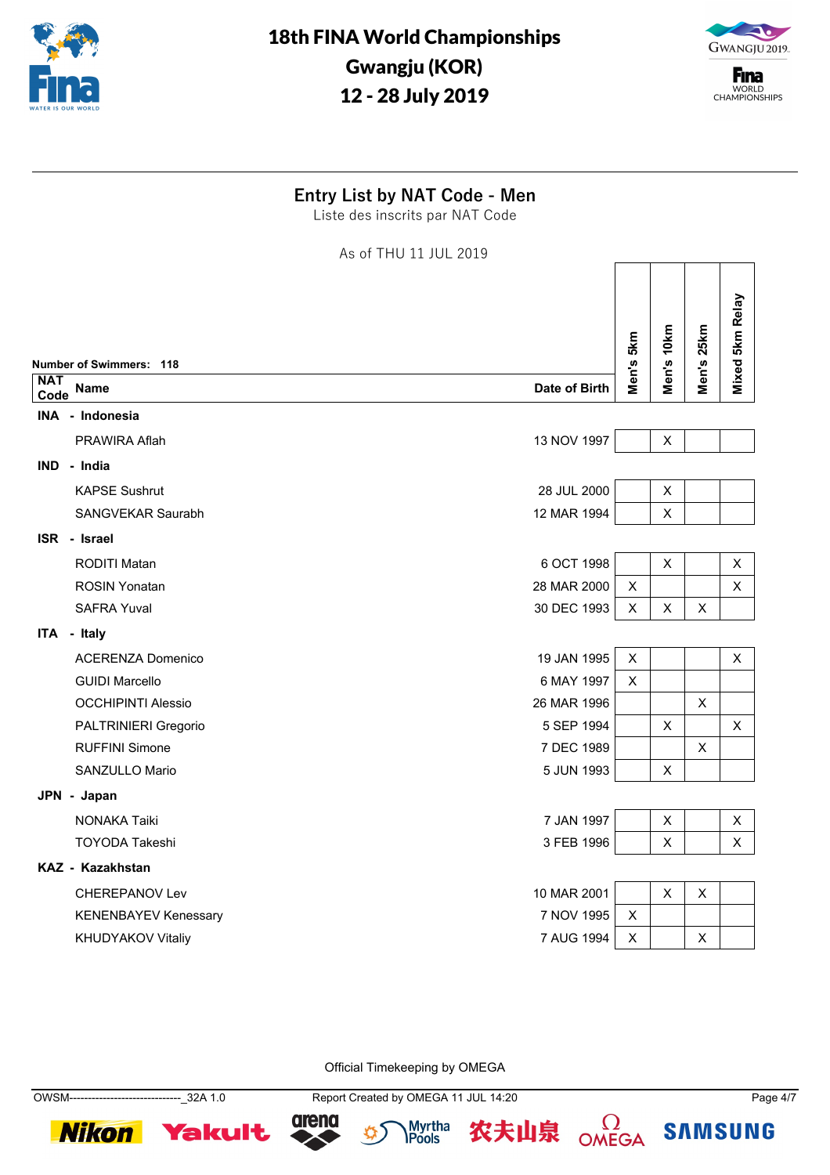



**F**ina WORLD<br>CHAMPIONSHIPS

### **Entry List by NAT Code - Men**

Liste des inscrits par NAT Code

As of THU 11 JUL 2019

|                             |                                                                                    |                                                                                                                                                                                                                                                                     |                |                 | Mixed 5km Relay |
|-----------------------------|------------------------------------------------------------------------------------|---------------------------------------------------------------------------------------------------------------------------------------------------------------------------------------------------------------------------------------------------------------------|----------------|-----------------|-----------------|
|                             |                                                                                    |                                                                                                                                                                                                                                                                     |                |                 |                 |
|                             |                                                                                    |                                                                                                                                                                                                                                                                     |                |                 |                 |
|                             |                                                                                    |                                                                                                                                                                                                                                                                     |                |                 |                 |
|                             |                                                                                    |                                                                                                                                                                                                                                                                     |                |                 |                 |
| IND - India                 |                                                                                    |                                                                                                                                                                                                                                                                     |                |                 |                 |
| <b>KAPSE Sushrut</b>        |                                                                                    |                                                                                                                                                                                                                                                                     | $\mathsf X$    |                 |                 |
| SANGVEKAR Saurabh           |                                                                                    |                                                                                                                                                                                                                                                                     | X              |                 |                 |
| ISR - Israel                |                                                                                    |                                                                                                                                                                                                                                                                     |                |                 |                 |
| <b>RODITI Matan</b>         |                                                                                    |                                                                                                                                                                                                                                                                     | X              |                 | X               |
| <b>ROSIN Yonatan</b>        |                                                                                    | X                                                                                                                                                                                                                                                                   |                |                 | $\pmb{\times}$  |
| <b>SAFRA Yuval</b>          |                                                                                    | X                                                                                                                                                                                                                                                                   | X              | X               |                 |
| ITA - Italy                 |                                                                                    |                                                                                                                                                                                                                                                                     |                |                 |                 |
| <b>ACERENZA Domenico</b>    |                                                                                    | X                                                                                                                                                                                                                                                                   |                |                 | X               |
| <b>GUIDI Marcello</b>       |                                                                                    | X                                                                                                                                                                                                                                                                   |                |                 |                 |
| <b>OCCHIPINTI Alessio</b>   |                                                                                    |                                                                                                                                                                                                                                                                     |                | X               |                 |
| PALTRINIERI Gregorio        |                                                                                    |                                                                                                                                                                                                                                                                     | X              |                 | X               |
| <b>RUFFINI Simone</b>       |                                                                                    |                                                                                                                                                                                                                                                                     |                | $\mathsf{X}$    |                 |
| SANZULLO Mario              |                                                                                    |                                                                                                                                                                                                                                                                     | X              |                 |                 |
| JPN - Japan                 |                                                                                    |                                                                                                                                                                                                                                                                     |                |                 |                 |
| <b>NONAKA Taiki</b>         |                                                                                    |                                                                                                                                                                                                                                                                     | $\pmb{\times}$ |                 | $\pmb{\times}$  |
| <b>TOYODA Takeshi</b>       |                                                                                    |                                                                                                                                                                                                                                                                     | $\pmb{\times}$ |                 | X               |
| KAZ - Kazakhstan            |                                                                                    |                                                                                                                                                                                                                                                                     |                |                 |                 |
| <b>CHEREPANOV Lev</b>       |                                                                                    |                                                                                                                                                                                                                                                                     | $\pmb{\times}$ | $\mathsf{X}$    |                 |
| <b>KENENBAYEV Kenessary</b> |                                                                                    | X                                                                                                                                                                                                                                                                   |                |                 |                 |
| KHUDYAKOV Vitaliy           |                                                                                    | X                                                                                                                                                                                                                                                                   |                | X               |                 |
|                             | <b>Number of Swimmers: 118</b><br>Name<br>Code<br>INA - Indonesia<br>PRAWIRA Aflah | Date of Birth<br>13 NOV 1997<br>28 JUL 2000<br>12 MAR 1994<br>6 OCT 1998<br>28 MAR 2000<br>30 DEC 1993<br>19 JAN 1995<br>6 MAY 1997<br>26 MAR 1996<br>5 SEP 1994<br>7 DEC 1989<br>5 JUN 1993<br>7 JAN 1997<br>3 FEB 1996<br>10 MAR 2001<br>7 NOV 1995<br>7 AUG 1994 | Men's 5km      | Men's 10km<br>X | Men's 25km      |

Official Timekeeping by OMEGA

**Nikon Yakult** 

OWSM------------------------------\_32A 1.0 Report Created by OMEGA 11 JUL 14:20 Page 4/7







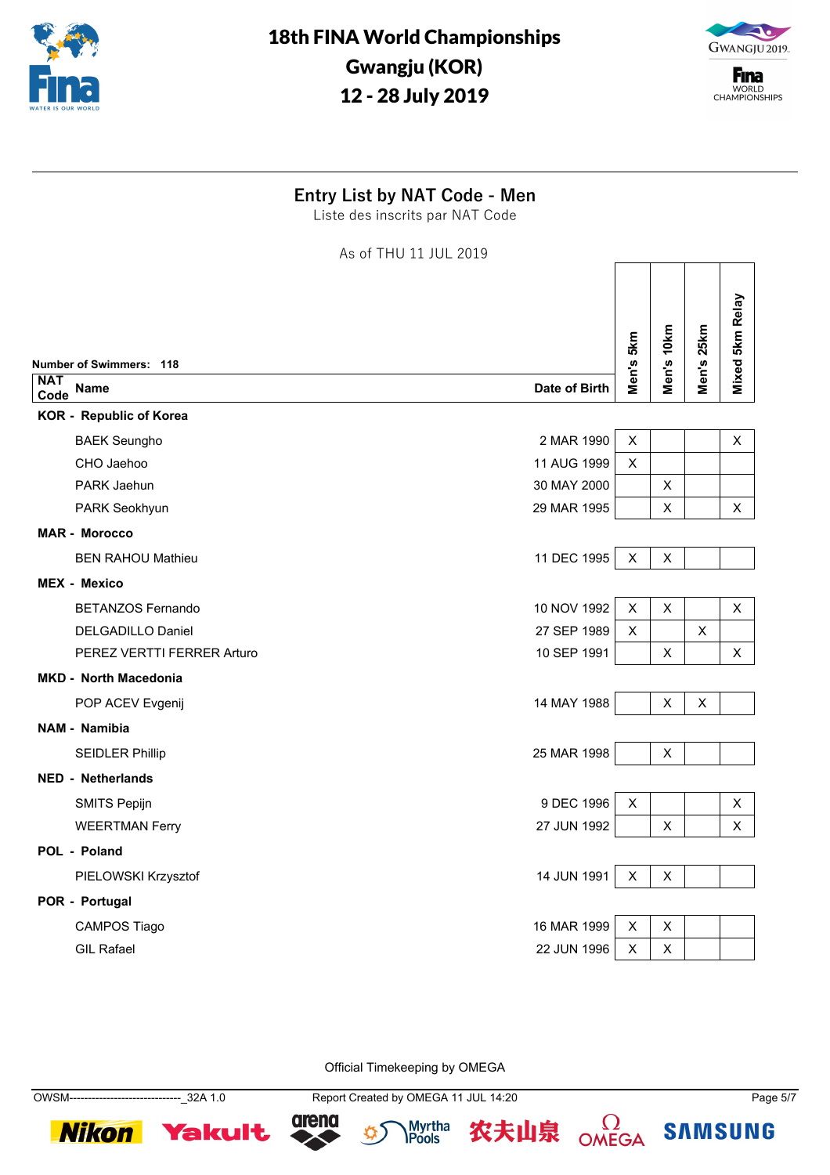



**F**ina WORLD<br>CHAMPIONSHIPS

┑

 $\Box$ 

<u> Tanzania de la propia de la propia de la propia de la propia de la propia de la propia de la propia de la pro</u>

### **Entry List by NAT Code - Men**

Liste des inscrits par NAT Code

As of THU 11 JUL 2019

|                    | <b>Number of Swimmers: 118</b>            | Men's 5km      | Men's 10km     | Men's 25km | Mixed 5km Relay           |
|--------------------|-------------------------------------------|----------------|----------------|------------|---------------------------|
| <b>NAT</b><br>Code | <b>Name</b><br>Date of Birth              |                |                |            |                           |
|                    | <b>KOR</b> - Republic of Korea            |                |                |            |                           |
|                    | 2 MAR 1990<br><b>BAEK Seungho</b>         | $\mathsf X$    |                |            | Χ                         |
|                    | CHO Jaehoo<br>11 AUG 1999                 | X              |                |            |                           |
|                    | PARK Jaehun<br>30 MAY 2000                |                | $\pmb{\times}$ |            |                           |
|                    | 29 MAR 1995<br>PARK Seokhyun              |                | X              |            | X                         |
|                    | <b>MAR - Morocco</b>                      |                |                |            |                           |
|                    | 11 DEC 1995<br><b>BEN RAHOU Mathieu</b>   | $\pmb{\times}$ | X              |            |                           |
|                    | <b>MEX - Mexico</b>                       |                |                |            |                           |
|                    | 10 NOV 1992<br><b>BETANZOS Fernando</b>   | $\pmb{\times}$ | $\pmb{\times}$ |            | X                         |
|                    | 27 SEP 1989<br><b>DELGADILLO Daniel</b>   | X              |                | X          |                           |
|                    | 10 SEP 1991<br>PEREZ VERTTI FERRER Arturo |                | $\pmb{\times}$ |            | $\boldsymbol{\mathsf{X}}$ |
|                    | <b>MKD - North Macedonia</b>              |                |                |            |                           |
|                    | 14 MAY 1988<br>POP ACEV Evgenij           |                | X              | X          |                           |
|                    | <b>NAM - Namibia</b>                      |                |                |            |                           |
|                    | 25 MAR 1998<br><b>SEIDLER Phillip</b>     |                | X              |            |                           |
|                    | <b>NED - Netherlands</b>                  |                |                |            |                           |
|                    | 9 DEC 1996<br><b>SMITS Pepijn</b>         | $\pmb{\times}$ |                |            | X                         |
|                    | 27 JUN 1992<br><b>WEERTMAN Ferry</b>      |                | X              |            | X                         |
|                    | POL - Poland                              |                |                |            |                           |
|                    | 14 JUN 1991<br>PIELOWSKI Krzysztof        | $\pmb{\times}$ | X              |            |                           |
|                    | POR - Portugal                            |                |                |            |                           |
|                    | 16 MAR 1999<br><b>CAMPOS Tiago</b>        | $\pmb{\times}$ | X              |            |                           |
|                    | <b>GIL Rafael</b><br>22 JUN 1996          | X              | X              |            |                           |
|                    |                                           |                |                |            |                           |

Official Timekeeping by OMEGA

OWSM------------------------------\_32A 1.0 Report Created by OMEGA 11 JUL 14:20 Page 5/7







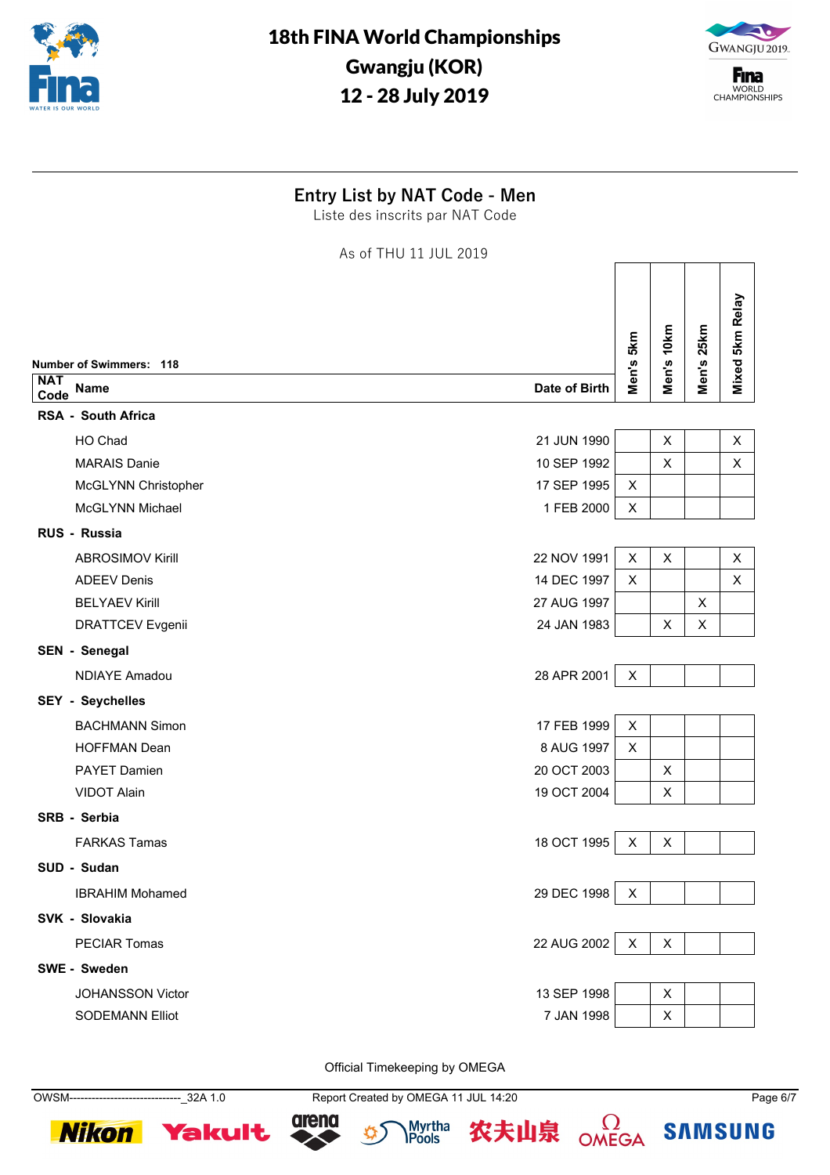



**F**ina WORLD<br>CHAMPIONSHIPS

 $\sqrt{ }$ 

 $\top$ 

 $\top$ 

 $\overline{\phantom{a}}$ 

⅂

### **Entry List by NAT Code - Men**

Liste des inscrits par NAT Code

As of THU 11 JUL 2019

|                    |                                        |                |                |            | Mixed 5km Relay |
|--------------------|----------------------------------------|----------------|----------------|------------|-----------------|
|                    | Number of Swimmers: 118                | Men's 5km      | Men's 10km     | Men's 25km |                 |
| <b>NAT</b><br>Code | Date of Birth<br>Name                  |                |                |            |                 |
|                    | <b>RSA - South Africa</b>              |                |                |            |                 |
|                    | 21 JUN 1990<br>HO Chad                 |                | X              |            | X               |
|                    | <b>MARAIS Danie</b><br>10 SEP 1992     |                | $\pmb{\times}$ |            | X               |
|                    | 17 SEP 1995<br>McGLYNN Christopher     | X              |                |            |                 |
|                    | McGLYNN Michael<br>1 FEB 2000          | X              |                |            |                 |
|                    | RUS - Russia                           |                |                |            |                 |
|                    | 22 NOV 1991<br><b>ABROSIMOV Kirill</b> | $\pmb{\times}$ | X              |            | X               |
|                    | 14 DEC 1997<br><b>ADEEV Denis</b>      | $\pmb{\times}$ |                |            | $\pmb{\times}$  |
|                    | <b>BELYAEV Kirill</b><br>27 AUG 1997   |                |                | X          |                 |
|                    | 24 JAN 1983<br><b>DRATTCEV Evgenii</b> |                | X              | Χ          |                 |
|                    | SEN - Senegal                          |                |                |            |                 |
|                    | 28 APR 2001<br><b>NDIAYE Amadou</b>    | X              |                |            |                 |
|                    | <b>SEY - Seychelles</b>                |                |                |            |                 |
|                    | 17 FEB 1999<br><b>BACHMANN Simon</b>   | X              |                |            |                 |
|                    | 8 AUG 1997<br><b>HOFFMAN Dean</b>      | X              |                |            |                 |
|                    | 20 OCT 2003<br>PAYET Damien            |                | X              |            |                 |
|                    | 19 OCT 2004<br><b>VIDOT Alain</b>      |                | X              |            |                 |
|                    | SRB - Serbia                           |                |                |            |                 |
|                    | 18 OCT 1995<br><b>FARKAS Tamas</b>     | X              | X              |            |                 |
|                    | SUD - Sudan                            |                |                |            |                 |
|                    | 29 DEC 1998<br><b>IBRAHIM Mohamed</b>  | X              |                |            |                 |
|                    | SVK - Slovakia                         |                |                |            |                 |
|                    | 22 AUG 2002<br><b>PECIAR Tomas</b>     | X              | X              |            |                 |
|                    | SWE - Sweden                           |                |                |            |                 |
|                    | 13 SEP 1998<br><b>JOHANSSON Victor</b> |                | X              |            |                 |
|                    | 7 JAN 1998<br><b>SODEMANN Elliot</b>   |                | X              |            |                 |
|                    |                                        |                |                |            |                 |

Official Timekeeping by OMEGA

OWSM------------------------------\_32A 1.0 Report Created by OMEGA 11 JUL 14:20 Page 6/7





Myrtha<br>**IPools**